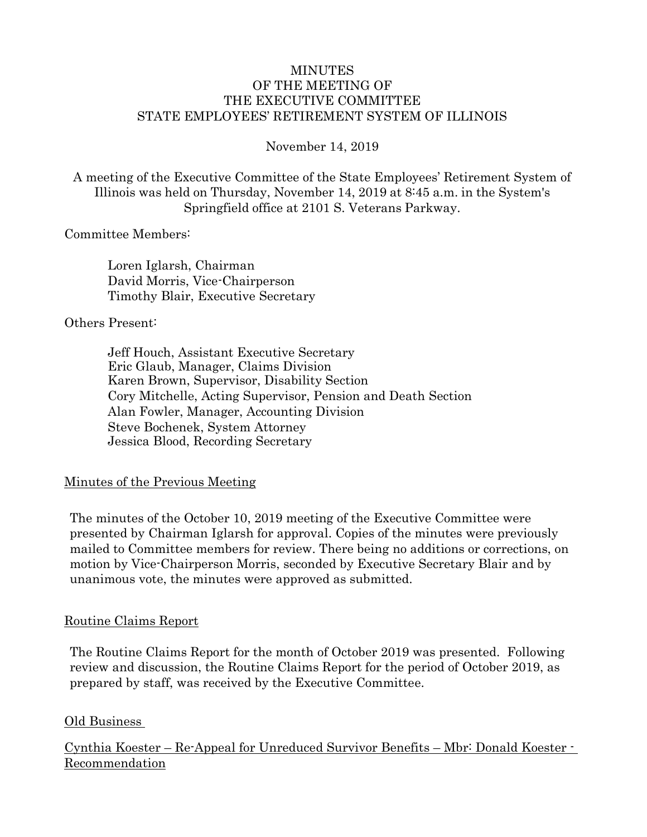#### MINUTES OF THE MEETING OF THE EXECUTIVE COMMITTEE STATE EMPLOYEES' RETIREMENT SYSTEM OF ILLINOIS

#### November 14, 2019

A meeting of the Executive Committee of the State Employees' Retirement System of Illinois was held on Thursday, November 14, 2019 at 8:45 a.m. in the System's Springfield office at 2101 S. Veterans Parkway.

#### Committee Members:

Loren Iglarsh, Chairman David Morris, Vice-Chairperson Timothy Blair, Executive Secretary

#### Others Present:

Jeff Houch, Assistant Executive Secretary Eric Glaub, Manager, Claims Division Karen Brown, Supervisor, Disability Section Cory Mitchelle, Acting Supervisor, Pension and Death Section Alan Fowler, Manager, Accounting Division Steve Bochenek, System Attorney Jessica Blood, Recording Secretary

#### Minutes of the Previous Meeting

The minutes of the October 10, 2019 meeting of the Executive Committee were presented by Chairman Iglarsh for approval. Copies of the minutes were previously mailed to Committee members for review. There being no additions or corrections, on motion by Vice-Chairperson Morris, seconded by Executive Secretary Blair and by unanimous vote, the minutes were approved as submitted.

#### Routine Claims Report

The Routine Claims Report for the month of October 2019 was presented. Following review and discussion, the Routine Claims Report for the period of October 2019, as prepared by staff, was received by the Executive Committee.

#### Old Business

Cynthia Koester – Re-Appeal for Unreduced Survivor Benefits – Mbr: Donald Koester - Recommendation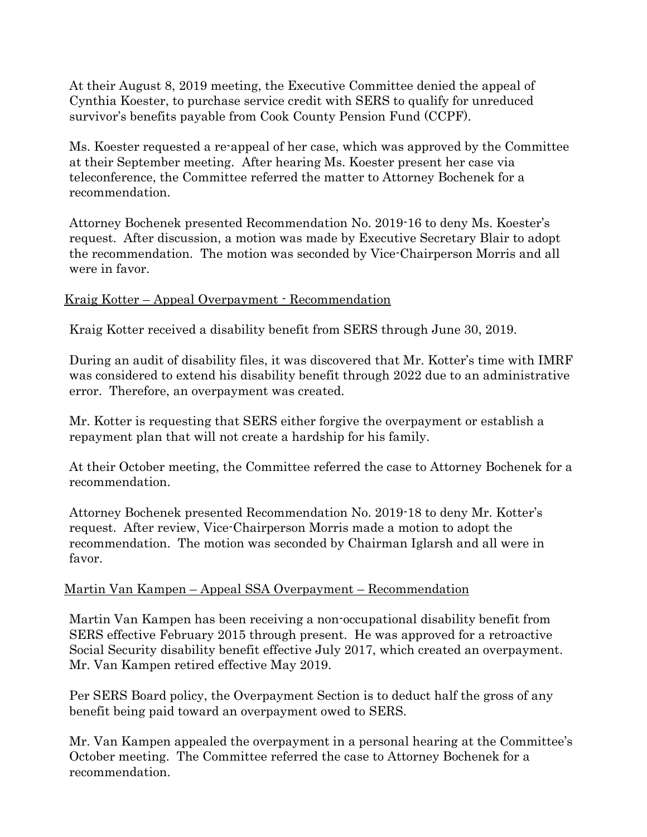At their August 8, 2019 meeting, the Executive Committee denied the appeal of Cynthia Koester, to purchase service credit with SERS to qualify for unreduced survivor's benefits payable from Cook County Pension Fund (CCPF).

Ms. Koester requested a re-appeal of her case, which was approved by the Committee at their September meeting. After hearing Ms. Koester present her case via teleconference, the Committee referred the matter to Attorney Bochenek for a recommendation.

Attorney Bochenek presented Recommendation No. 2019-16 to deny Ms. Koester's request. After discussion, a motion was made by Executive Secretary Blair to adopt the recommendation. The motion was seconded by Vice-Chairperson Morris and all were in favor.

#### Kraig Kotter – Appeal Overpayment - Recommendation

Kraig Kotter received a disability benefit from SERS through June 30, 2019.

During an audit of disability files, it was discovered that Mr. Kotter's time with IMRF was considered to extend his disability benefit through 2022 due to an administrative error. Therefore, an overpayment was created.

Mr. Kotter is requesting that SERS either forgive the overpayment or establish a repayment plan that will not create a hardship for his family.

At their October meeting, the Committee referred the case to Attorney Bochenek for a recommendation.

Attorney Bochenek presented Recommendation No. 2019-18 to deny Mr. Kotter's request. After review, Vice-Chairperson Morris made a motion to adopt the recommendation. The motion was seconded by Chairman Iglarsh and all were in favor.

# Martin Van Kampen – Appeal SSA Overpayment – Recommendation

Martin Van Kampen has been receiving a non-occupational disability benefit from SERS effective February 2015 through present. He was approved for a retroactive Social Security disability benefit effective July 2017, which created an overpayment. Mr. Van Kampen retired effective May 2019.

Per SERS Board policy, the Overpayment Section is to deduct half the gross of any benefit being paid toward an overpayment owed to SERS.

Mr. Van Kampen appealed the overpayment in a personal hearing at the Committee's October meeting. The Committee referred the case to Attorney Bochenek for a recommendation.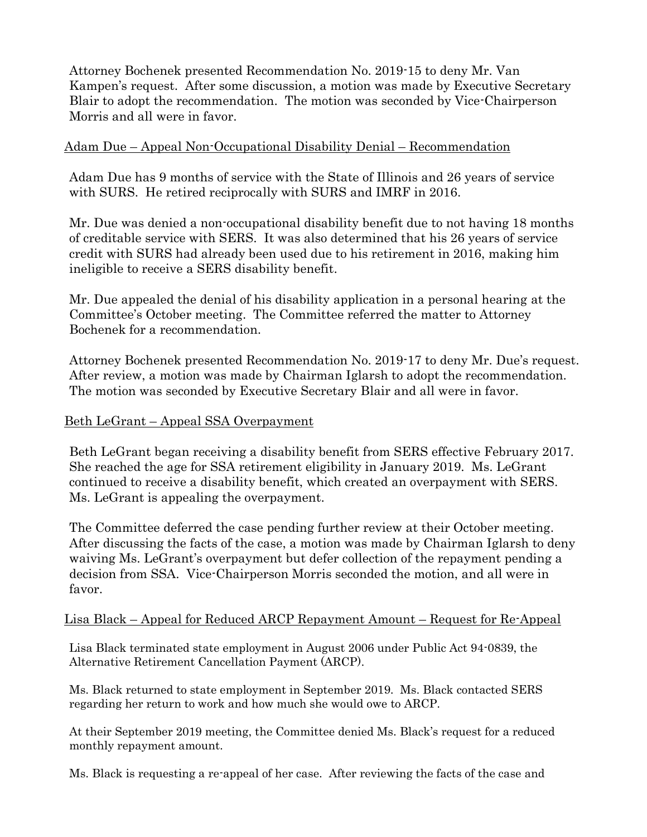Attorney Bochenek presented Recommendation No. 2019-15 to deny Mr. Van Kampen's request. After some discussion, a motion was made by Executive Secretary Blair to adopt the recommendation. The motion was seconded by Vice-Chairperson Morris and all were in favor.

#### Adam Due – Appeal Non-Occupational Disability Denial – Recommendation

Adam Due has 9 months of service with the State of Illinois and 26 years of service with SURS. He retired reciprocally with SURS and IMRF in 2016.

Mr. Due was denied a non-occupational disability benefit due to not having 18 months of creditable service with SERS. It was also determined that his 26 years of service credit with SURS had already been used due to his retirement in 2016, making him ineligible to receive a SERS disability benefit.

Mr. Due appealed the denial of his disability application in a personal hearing at the Committee's October meeting. The Committee referred the matter to Attorney Bochenek for a recommendation.

Attorney Bochenek presented Recommendation No. 2019-17 to deny Mr. Due's request. After review, a motion was made by Chairman Iglarsh to adopt the recommendation. The motion was seconded by Executive Secretary Blair and all were in favor.

### Beth LeGrant – Appeal SSA Overpayment

Beth LeGrant began receiving a disability benefit from SERS effective February 2017. She reached the age for SSA retirement eligibility in January 2019. Ms. LeGrant continued to receive a disability benefit, which created an overpayment with SERS. Ms. LeGrant is appealing the overpayment.

The Committee deferred the case pending further review at their October meeting. After discussing the facts of the case, a motion was made by Chairman Iglarsh to deny waiving Ms. LeGrant's overpayment but defer collection of the repayment pending a decision from SSA. Vice-Chairperson Morris seconded the motion, and all were in favor.

#### Lisa Black – Appeal for Reduced ARCP Repayment Amount – Request for Re-Appeal

Lisa Black terminated state employment in August 2006 under Public Act 94-0839, the Alternative Retirement Cancellation Payment (ARCP).

Ms. Black returned to state employment in September 2019. Ms. Black contacted SERS regarding her return to work and how much she would owe to ARCP.

At their September 2019 meeting, the Committee denied Ms. Black's request for a reduced monthly repayment amount.

Ms. Black is requesting a re-appeal of her case. After reviewing the facts of the case and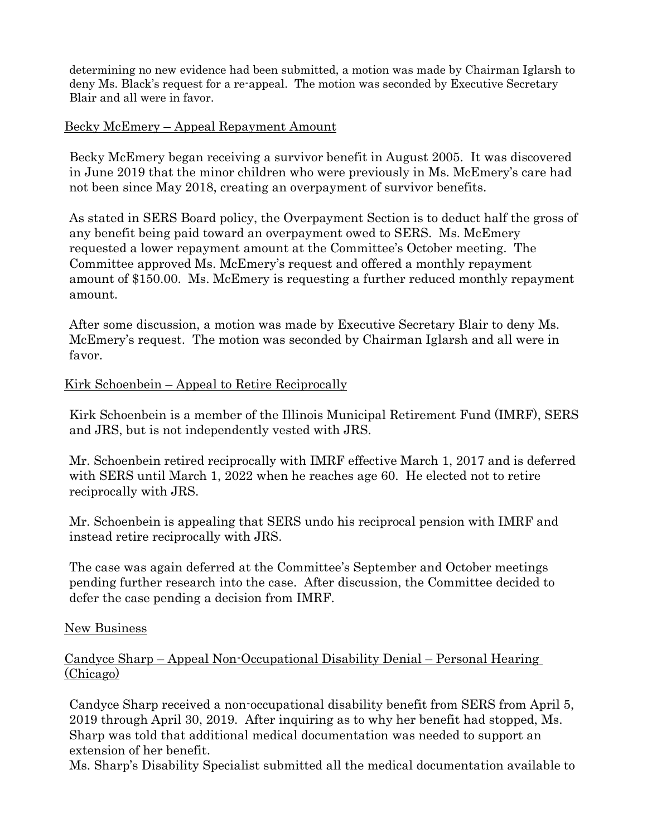determining no new evidence had been submitted, a motion was made by Chairman Iglarsh to deny Ms. Black's request for a re-appeal. The motion was seconded by Executive Secretary Blair and all were in favor.

### Becky McEmery – Appeal Repayment Amount

Becky McEmery began receiving a survivor benefit in August 2005. It was discovered in June 2019 that the minor children who were previously in Ms. McEmery's care had not been since May 2018, creating an overpayment of survivor benefits.

As stated in SERS Board policy, the Overpayment Section is to deduct half the gross of any benefit being paid toward an overpayment owed to SERS. Ms. McEmery requested a lower repayment amount at the Committee's October meeting. The Committee approved Ms. McEmery's request and offered a monthly repayment amount of \$150.00. Ms. McEmery is requesting a further reduced monthly repayment amount.

After some discussion, a motion was made by Executive Secretary Blair to deny Ms. McEmery's request. The motion was seconded by Chairman Iglarsh and all were in favor.

## Kirk Schoenbein – Appeal to Retire Reciprocally

Kirk Schoenbein is a member of the Illinois Municipal Retirement Fund (IMRF), SERS and JRS, but is not independently vested with JRS.

Mr. Schoenbein retired reciprocally with IMRF effective March 1, 2017 and is deferred with SERS until March 1, 2022 when he reaches age 60. He elected not to retire reciprocally with JRS.

Mr. Schoenbein is appealing that SERS undo his reciprocal pension with IMRF and instead retire reciprocally with JRS.

The case was again deferred at the Committee's September and October meetings pending further research into the case. After discussion, the Committee decided to defer the case pending a decision from IMRF.

#### New Business

#### Candyce Sharp – Appeal Non-Occupational Disability Denial – Personal Hearing (Chicago)

Candyce Sharp received a non-occupational disability benefit from SERS from April 5, 2019 through April 30, 2019. After inquiring as to why her benefit had stopped, Ms. Sharp was told that additional medical documentation was needed to support an extension of her benefit.

Ms. Sharp's Disability Specialist submitted all the medical documentation available to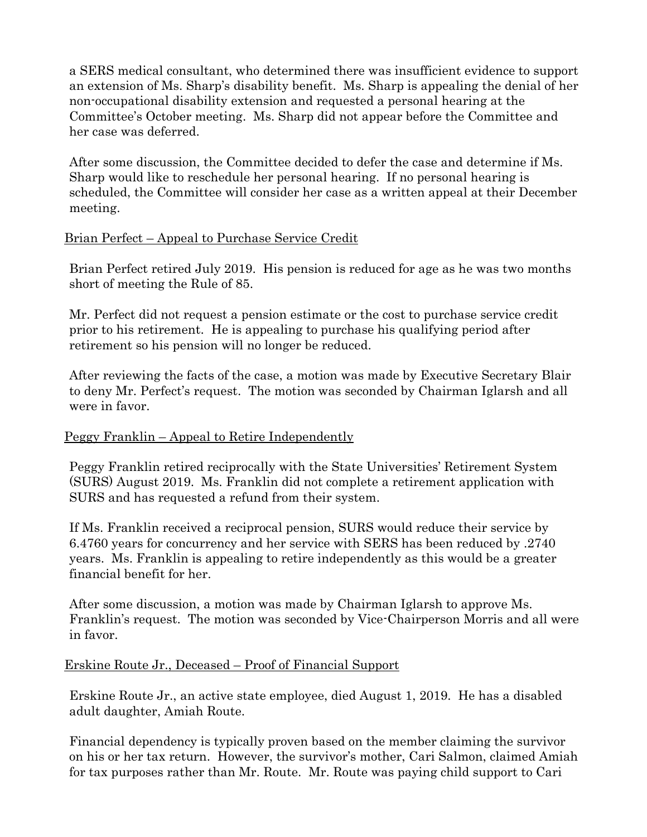a SERS medical consultant, who determined there was insufficient evidence to support an extension of Ms. Sharp's disability benefit. Ms. Sharp is appealing the denial of her non-occupational disability extension and requested a personal hearing at the Committee's October meeting. Ms. Sharp did not appear before the Committee and her case was deferred.

After some discussion, the Committee decided to defer the case and determine if Ms. Sharp would like to reschedule her personal hearing. If no personal hearing is scheduled, the Committee will consider her case as a written appeal at their December meeting.

# Brian Perfect – Appeal to Purchase Service Credit

Brian Perfect retired July 2019. His pension is reduced for age as he was two months short of meeting the Rule of 85.

Mr. Perfect did not request a pension estimate or the cost to purchase service credit prior to his retirement. He is appealing to purchase his qualifying period after retirement so his pension will no longer be reduced.

After reviewing the facts of the case, a motion was made by Executive Secretary Blair to deny Mr. Perfect's request. The motion was seconded by Chairman Iglarsh and all were in favor.

#### Peggy Franklin – Appeal to Retire Independently

Peggy Franklin retired reciprocally with the State Universities' Retirement System (SURS) August 2019. Ms. Franklin did not complete a retirement application with SURS and has requested a refund from their system.

If Ms. Franklin received a reciprocal pension, SURS would reduce their service by 6.4760 years for concurrency and her service with SERS has been reduced by .2740 years. Ms. Franklin is appealing to retire independently as this would be a greater financial benefit for her.

After some discussion, a motion was made by Chairman Iglarsh to approve Ms. Franklin's request. The motion was seconded by Vice-Chairperson Morris and all were in favor.

#### Erskine Route Jr., Deceased – Proof of Financial Support

Erskine Route Jr., an active state employee, died August 1, 2019. He has a disabled adult daughter, Amiah Route.

Financial dependency is typically proven based on the member claiming the survivor on his or her tax return. However, the survivor's mother, Cari Salmon, claimed Amiah for tax purposes rather than Mr. Route. Mr. Route was paying child support to Cari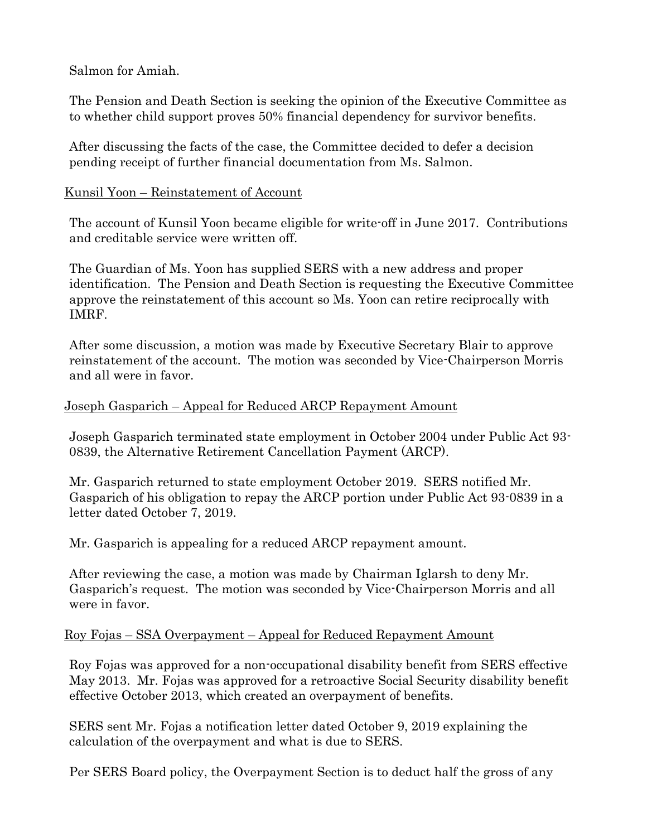Salmon for Amiah.

The Pension and Death Section is seeking the opinion of the Executive Committee as to whether child support proves 50% financial dependency for survivor benefits.

After discussing the facts of the case, the Committee decided to defer a decision pending receipt of further financial documentation from Ms. Salmon.

## Kunsil Yoon – Reinstatement of Account

The account of Kunsil Yoon became eligible for write-off in June 2017. Contributions and creditable service were written off.

The Guardian of Ms. Yoon has supplied SERS with a new address and proper identification. The Pension and Death Section is requesting the Executive Committee approve the reinstatement of this account so Ms. Yoon can retire reciprocally with IMRF.

After some discussion, a motion was made by Executive Secretary Blair to approve reinstatement of the account. The motion was seconded by Vice-Chairperson Morris and all were in favor.

## Joseph Gasparich – Appeal for Reduced ARCP Repayment Amount

Joseph Gasparich terminated state employment in October 2004 under Public Act 93- 0839, the Alternative Retirement Cancellation Payment (ARCP).

Mr. Gasparich returned to state employment October 2019. SERS notified Mr. Gasparich of his obligation to repay the ARCP portion under Public Act 93-0839 in a letter dated October 7, 2019.

Mr. Gasparich is appealing for a reduced ARCP repayment amount.

After reviewing the case, a motion was made by Chairman Iglarsh to deny Mr. Gasparich's request. The motion was seconded by Vice-Chairperson Morris and all were in favor.

#### Roy Fojas – SSA Overpayment – Appeal for Reduced Repayment Amount

Roy Fojas was approved for a non-occupational disability benefit from SERS effective May 2013. Mr. Fojas was approved for a retroactive Social Security disability benefit effective October 2013, which created an overpayment of benefits.

SERS sent Mr. Fojas a notification letter dated October 9, 2019 explaining the calculation of the overpayment and what is due to SERS.

Per SERS Board policy, the Overpayment Section is to deduct half the gross of any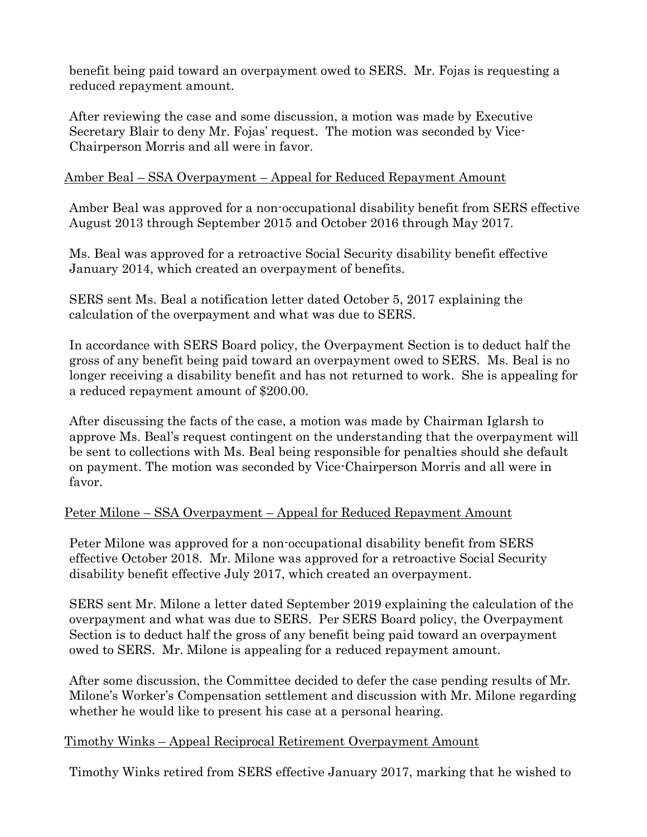benefit being paid toward an overpayment owed to SERS. Mr. Fojas is requesting a reduced repayment amount.

After reviewing the case and some discussion, a motion was made by Executive Secretary Blair to deny Mr. Fojas' request. The motion was seconded by Vice-Chairperson Morris and all were in favor.

### Amber Beal – SSA Overpayment – Appeal for Reduced Repayment Amount

Amber Beal was approved for a non-occupational disability benefit from SERS effective August 2013 through September 2015 and October 2016 through May 2017.

Ms. Beal was approved for a retroactive Social Security disability benefit effective January 2014, which created an overpayment of benefits.

SERS sent Ms. Beal a notification letter dated October 5, 2017 explaining the calculation of the overpayment and what was due to SERS.

In accordance with SERS Board policy, the Overpayment Section is to deduct half the gross of any benefit being paid toward an overpayment owed to SERS. Ms. Beal is no longer receiving a disability benefit and has not returned to work. She is appealing for a reduced repayment amount of \$200.00.

After discussing the facts of the case, a motion was made by Chairman Iglarsh to approve Ms. Beal's request contingent on the understanding that the overpayment will be sent to collections with Ms. Beal being responsible for penalties should she default on payment. The motion was seconded by Vice-Chairperson Morris and all were in favor.

#### Peter Milone – SSA Overpayment – Appeal for Reduced Repayment Amount

Peter Milone was approved for a non-occupational disability benefit from SERS effective October 2018. Mr. Milone was approved for a retroactive Social Security disability benefit effective July 2017, which created an overpayment.

SERS sent Mr. Milone a letter dated September 2019 explaining the calculation of the overpayment and what was due to SERS. Per SERS Board policy, the Overpayment Section is to deduct half the gross of any benefit being paid toward an overpayment owed to SERS. Mr. Milone is appealing for a reduced repayment amount.

After some discussion, the Committee decided to defer the case pending results of Mr. Milone's Worker's Compensation settlement and discussion with Mr. Milone regarding whether he would like to present his case at a personal hearing.

#### Timothy Winks – Appeal Reciprocal Retirement Overpayment Amount

Timothy Winks retired from SERS effective January 2017, marking that he wished to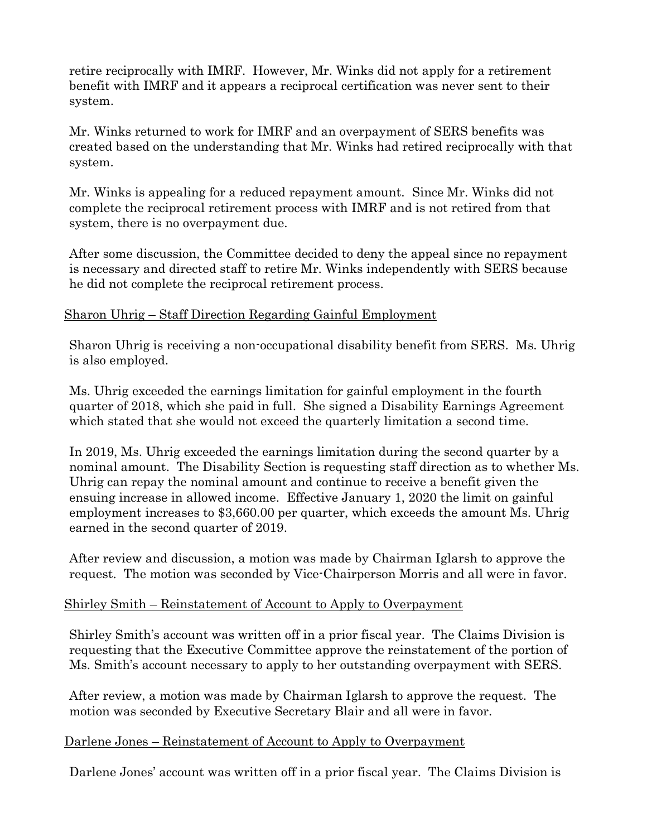retire reciprocally with IMRF. However, Mr. Winks did not apply for a retirement benefit with IMRF and it appears a reciprocal certification was never sent to their system.

Mr. Winks returned to work for IMRF and an overpayment of SERS benefits was created based on the understanding that Mr. Winks had retired reciprocally with that system.

Mr. Winks is appealing for a reduced repayment amount. Since Mr. Winks did not complete the reciprocal retirement process with IMRF and is not retired from that system, there is no overpayment due.

After some discussion, the Committee decided to deny the appeal since no repayment is necessary and directed staff to retire Mr. Winks independently with SERS because he did not complete the reciprocal retirement process.

# Sharon Uhrig – Staff Direction Regarding Gainful Employment

Sharon Uhrig is receiving a non-occupational disability benefit from SERS. Ms. Uhrig is also employed.

Ms. Uhrig exceeded the earnings limitation for gainful employment in the fourth quarter of 2018, which she paid in full. She signed a Disability Earnings Agreement which stated that she would not exceed the quarterly limitation a second time.

In 2019, Ms. Uhrig exceeded the earnings limitation during the second quarter by a nominal amount. The Disability Section is requesting staff direction as to whether Ms. Uhrig can repay the nominal amount and continue to receive a benefit given the ensuing increase in allowed income. Effective January 1, 2020 the limit on gainful employment increases to \$3,660.00 per quarter, which exceeds the amount Ms. Uhrig earned in the second quarter of 2019.

After review and discussion, a motion was made by Chairman Iglarsh to approve the request. The motion was seconded by Vice-Chairperson Morris and all were in favor.

#### Shirley Smith – Reinstatement of Account to Apply to Overpayment

Shirley Smith's account was written off in a prior fiscal year. The Claims Division is requesting that the Executive Committee approve the reinstatement of the portion of Ms. Smith's account necessary to apply to her outstanding overpayment with SERS.

After review, a motion was made by Chairman Iglarsh to approve the request. The motion was seconded by Executive Secretary Blair and all were in favor.

#### Darlene Jones – Reinstatement of Account to Apply to Overpayment

Darlene Jones' account was written off in a prior fiscal year. The Claims Division is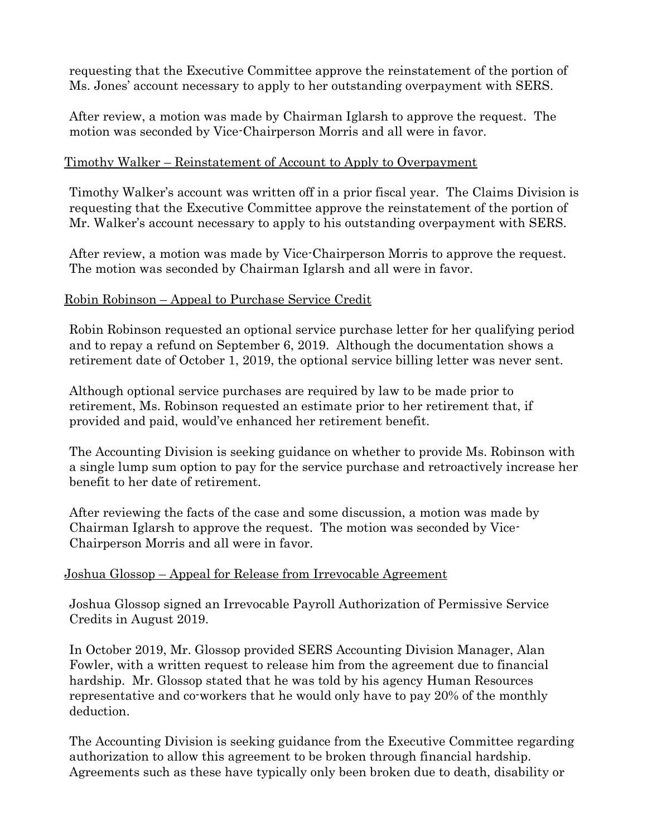requesting that the Executive Committee approve the reinstatement of the portion of Ms. Jones' account necessary to apply to her outstanding overpayment with SERS.

After review, a motion was made by Chairman Iglarsh to approve the request. The motion was seconded by Vice-Chairperson Morris and all were in favor.

#### Timothy Walker – Reinstatement of Account to Apply to Overpayment

Timothy Walker's account was written off in a prior fiscal year. The Claims Division is requesting that the Executive Committee approve the reinstatement of the portion of Mr. Walker's account necessary to apply to his outstanding overpayment with SERS.

After review, a motion was made by Vice-Chairperson Morris to approve the request. The motion was seconded by Chairman Iglarsh and all were in favor.

## Robin Robinson – Appeal to Purchase Service Credit

Robin Robinson requested an optional service purchase letter for her qualifying period and to repay a refund on September 6, 2019. Although the documentation shows a retirement date of October 1, 2019, the optional service billing letter was never sent.

Although optional service purchases are required by law to be made prior to retirement, Ms. Robinson requested an estimate prior to her retirement that, if provided and paid, would've enhanced her retirement benefit.

The Accounting Division is seeking guidance on whether to provide Ms. Robinson with a single lump sum option to pay for the service purchase and retroactively increase her benefit to her date of retirement.

After reviewing the facts of the case and some discussion, a motion was made by Chairman Iglarsh to approve the request. The motion was seconded by Vice-Chairperson Morris and all were in favor.

# Joshua Glossop – Appeal for Release from Irrevocable Agreement

Joshua Glossop signed an Irrevocable Payroll Authorization of Permissive Service Credits in August 2019.

In October 2019, Mr. Glossop provided SERS Accounting Division Manager, Alan Fowler, with a written request to release him from the agreement due to financial hardship. Mr. Glossop stated that he was told by his agency Human Resources representative and co-workers that he would only have to pay 20% of the monthly deduction.

The Accounting Division is seeking guidance from the Executive Committee regarding authorization to allow this agreement to be broken through financial hardship. Agreements such as these have typically only been broken due to death, disability or